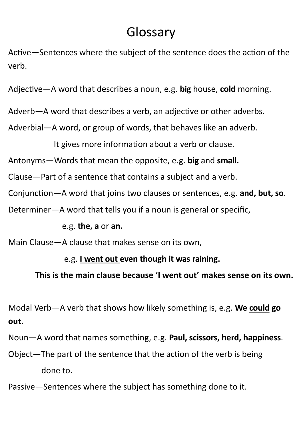## Glossary

Active—Sentences where the subject of the sentence does the action of the verb.

Adjective—A word that describes a noun, e.g. **big** house, **cold** morning.

Adverb—A word that describes a verb, an adjective or other adverbs.

Adverbial—A word, or group of words, that behaves like an adverb.

It gives more information about a verb or clause.

Antonyms—Words that mean the opposite, e.g. **big** and **small.**

Clause—Part of a sentence that contains a subject and a verb.

Conjunction—A word that joins two clauses or sentences, e.g. **and, but, so**.

Determiner—A word that tells you if a noun is general or specific,

e.g. **the, a** or **an.**

Main Clause—A clause that makes sense on its own,

## e.g. **I went out even though it was raining.**

 **This is the main clause because 'I went out' makes sense on its own.**

Modal Verb—A verb that shows how likely something is, e.g. **We could go out.**

Noun—A word that names something, e.g. **Paul, scissors, herd, happiness**.

Object—The part of the sentence that the action of the verb is being

done to.

Passive—Sentences where the subject has something done to it.